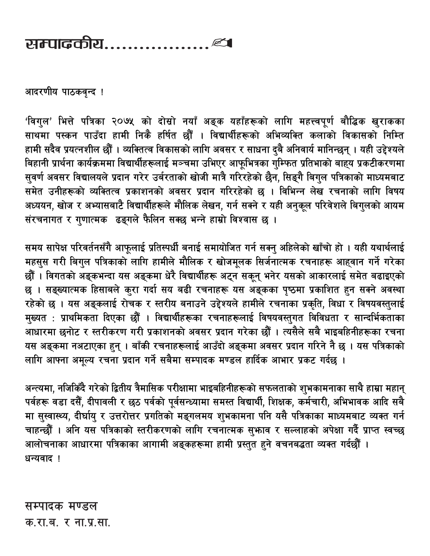## 

आदरणीय पाठकवृन्द !

'विगुल' भित्ते पत्रिका २०७५ को दोस्रो नयाँ अङ्क यहाँहरूको लागि महत्त्वपूर्ण बौद्धिक खुराकका साथमा पस्कन पाउँदा हामी निकै हर्षित छौं । विद्यार्थीहरूको अभिव्यक्ति कलाको विकासको निम्ति हामी सदैव प्रयत्नशील छौँ । व्यक्तित्व विकासको लागि अवसर र साधना दुबै अनिवार्य मानिन्छन् । यही उद्देश्यले बिहानी प्रार्थना कार्यक्रममा विद्यार्थीहरूलाई मञ्चमा उभिएर आफूभित्रका गुम्फित प्रतिभाको बाह्य प्रकटीकरणमा सुवर्ण अवसर विद्यालयले प्रदान गरेर उर्बरताको खोजी मात्रै गरिरहेको छैन, सिङ्गै बिगुल पत्रिकाको माध्यमबाट समेत उनीहरूको व्यक्तित्व प्रकाशनको अवसर प्रदान गरिरहेको छ । विभिन्न लेख रचनाको लागि विषय अध्ययन, खोज र अभ्यासबाटै विद्यार्थीहरूले मौलिक लेखन, गर्न सक्ने र यही अनुकूल परिवेशले बिगुलको आयम संरचनागत र गुणात्मक ढङ्गले फैलिन सक्छ भन्ने हाम्रो विश्वास छ ।

समय सापेक्ष परिवर्तनसँगै आफूलाई प्रतिस्पर्धी बनाई समायोजित गर्न सक्नु अहिलेको खाँचो हो । यही यथार्थलाई महसुस गरी बिगुल पत्रिकाको लागि हामीले मौलिक र खोजमूलक सिर्जनात्मक रचनाहरू आहवान गर्ने गरेका छौँ । विगतको अङ्कभन्दा यस अङ्कमा धेरै विद्यार्थीहरू अट्न सकून् भनेर यसको आकारलाई समेत बढाइएको छ । सङ्ख्यात्मक हिसाबले कुरा गर्दा सय बढी रचनाहरू यस अङ्कका पृष्ठमा प्रकाशित हुन सक्ने अवस्था रहेको छ । यस अङ्कलाई रोचक र स्तरीय बनाउने उद्देश्यले हामीले रचनाका प्रकृति, विधा र विषयवस्तुलाई मुख्यत : प्राथमिकता दिएका छौँ । विद्यार्थीहरूका रचनाहरूलाई विषयवस्तुगत विविधता र सान्दर्भिकताका आधारमा छनोट र स्तरीकरण गरी प्रकाशनको अवसर प्रदान गरेका छौँ । त्यसैले सबै भाइबहिनीहरूका रचना यस अङ्कमा नअटाएका हुन् । बाँकी रचनाहरूलाई आउँदो अङ्कमा अवसर प्रदान गरिने नै छ । यस पत्रिकाको लागि आफ्ना अमुल्य रचना प्रदान गर्ने सबैमा सम्पादक मण्डल हार्दिक आभार प्रकट गर्दछ ।

अन्त्यमा, नजिकिँदै गरेको द्वितीय त्रैमासिक परीक्षामा भाइबहिनीहरूको सफलताको शुभकामनाका साथै हाम्रा महान् पर्वहरू वडा दसैँ, दीपावली र छठ पर्वको पूर्वसन्ध्यामा समस्त विद्यार्थी, शिक्षक, कर्मचारी, अभिभावक आदि सबै मा सुस्वास्थ्य, दीर्घायु र उत्तरोत्तर प्रगतिको मङ्गलमय शुभकामना पनि यसै पत्रिकाका माध्यमबाट व्यक्त गर्न चाहन्छौँ । अनि यस पत्रिकाको स्तरीकरणको लागि रचनात्मक सुभाव र सल्लाहको अपेक्षा गर्दै प्राप्त स्वच्छ आलोचनाका आधारमा पत्रिकाका आगामी अङ्कहरूमा हामी प्रस्तुत हुने वचनबद्धता व्यक्त गर्दछौँ । धन्यवाद !

सम्पादक मण्डल क.रा.ब. र ना.प्र.सा.